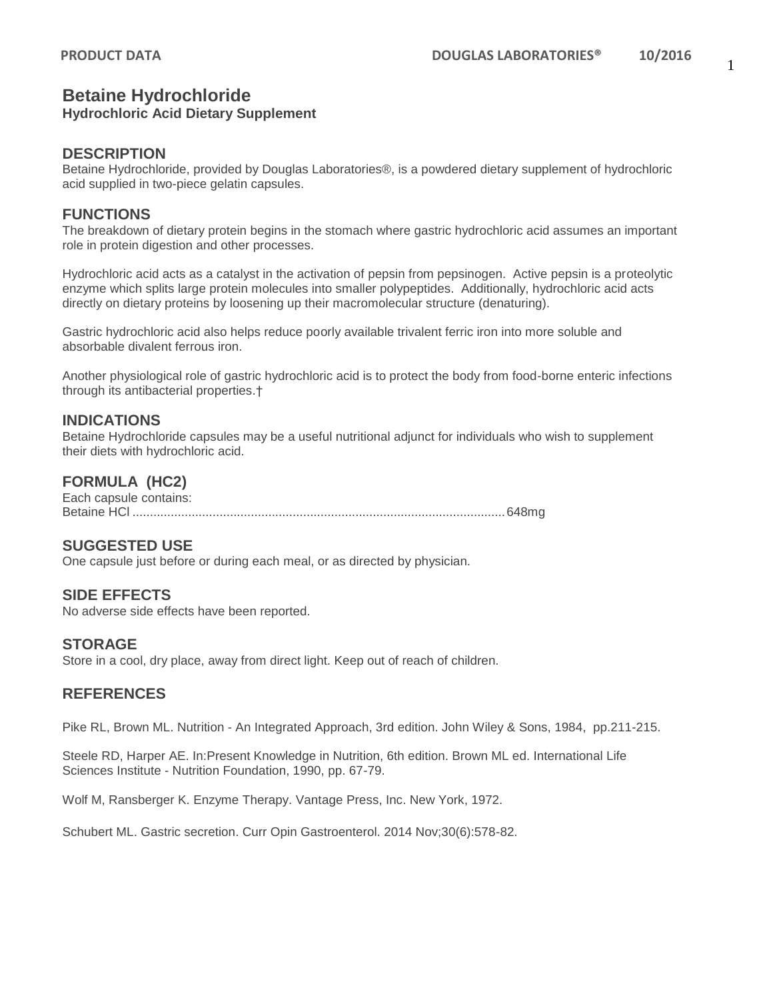# **Betaine Hydrochloride**

#### **Hydrochloric Acid Dietary Supplement**

#### **DESCRIPTION**

Betaine Hydrochloride, provided by Douglas Laboratories®, is a powdered dietary supplement of hydrochloric acid supplied in two-piece gelatin capsules.

## **FUNCTIONS**

The breakdown of dietary protein begins in the stomach where gastric hydrochloric acid assumes an important role in protein digestion and other processes.

Hydrochloric acid acts as a catalyst in the activation of pepsin from pepsinogen. Active pepsin is a proteolytic enzyme which splits large protein molecules into smaller polypeptides. Additionally, hydrochloric acid acts directly on dietary proteins by loosening up their macromolecular structure (denaturing).

Gastric hydrochloric acid also helps reduce poorly available trivalent ferric iron into more soluble and absorbable divalent ferrous iron.

Another physiological role of gastric hydrochloric acid is to protect the body from food-borne enteric infections through its antibacterial properties.†

## **INDICATIONS**

Betaine Hydrochloride capsules may be a useful nutritional adjunct for individuals who wish to supplement their diets with hydrochloric acid.

# **FORMULA (HC2)**

Each capsule contains: Betaine HCl ...........................................................................................................648mg

# **SUGGESTED USE**

One capsule just before or during each meal, or as directed by physician.

# **SIDE EFFECTS**

No adverse side effects have been reported.

#### **STORAGE**

Store in a cool, dry place, away from direct light. Keep out of reach of children.

# **REFERENCES**

Pike RL, Brown ML. Nutrition - An Integrated Approach, 3rd edition. John Wiley & Sons, 1984, pp.211-215.

Steele RD, Harper AE. In:Present Knowledge in Nutrition, 6th edition. Brown ML ed. International Life Sciences Institute - Nutrition Foundation, 1990, pp. 67-79.

Wolf M, Ransberger K. Enzyme Therapy. Vantage Press, Inc. New York, 1972.

Schubert ML. Gastric secretion. Curr Opin Gastroenterol. 2014 Nov;30(6):578-82.